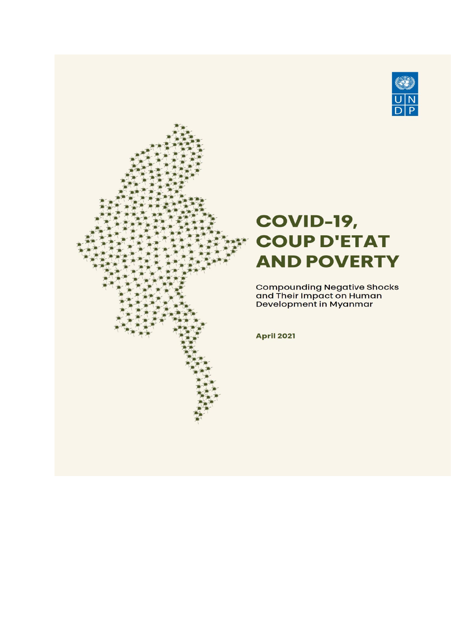

# <span id="page-0-0"></span>**COVID-19, COUP D'ETAT AND POVERTY**

Compounding Negative Shocks<br>and Their Impact on Human<br>Development in Myanmar

**April 2021**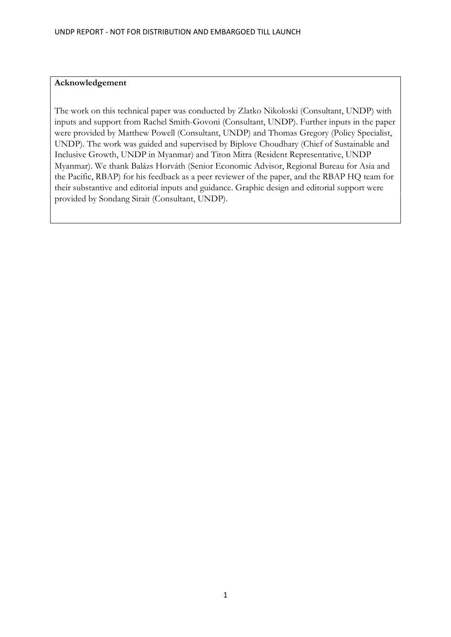#### **Acknowledgement**

The work on this technical paper was conducted by Zlatko Nikoloski (Consultant, UNDP) with inputs and support from Rachel Smith-Govoni (Consultant, UNDP). Further inputs in the paper were provided by Matthew Powell (Consultant, UNDP) and Thomas Gregory (Policy Specialist, UNDP). The work was guided and supervised by Biplove Choudhary (Chief of Sustainable and Inclusive Growth, UNDP in Myanmar) and Titon Mitra (Resident Representative, UNDP Myanmar). We thank Balázs Horváth (Senior Economic Advisor, Regional Bureau for Asia and the Pacific, RBAP) for his feedback as a peer reviewer of the paper, and the RBAP HQ team for their substantive and editorial inputs and guidance. Graphic design and editorial support were provided by Sondang Sirait (Consultant, UNDP).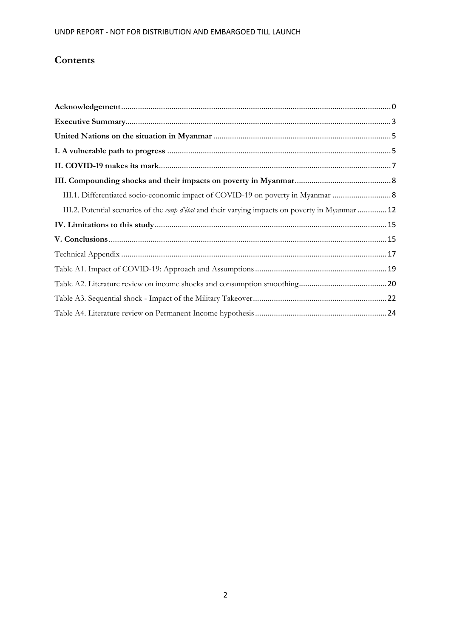## **Contents**

| III.1. Differentiated socio-economic impact of COVID-19 on poverty in Myanmar  8                         |  |
|----------------------------------------------------------------------------------------------------------|--|
| III.2. Potential scenarios of the <i>coup d'état</i> and their varying impacts on poverty in Myanmar  12 |  |
|                                                                                                          |  |
|                                                                                                          |  |
|                                                                                                          |  |
|                                                                                                          |  |
|                                                                                                          |  |
|                                                                                                          |  |
|                                                                                                          |  |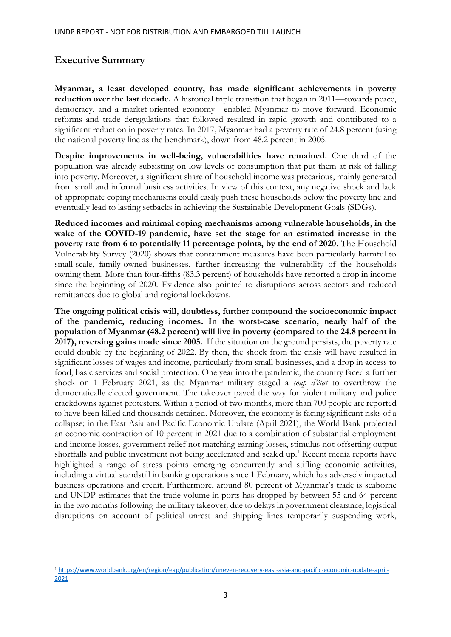## <span id="page-3-0"></span>**Executive Summary**

**Myanmar, a least developed country, has made significant achievements in poverty**  reduction over the last decade. A historical triple transition that began in 2011—towards peace, democracy, and a market-oriented economy—enabled Myanmar to move forward. Economic reforms and trade deregulations that followed resulted in rapid growth and contributed to a significant reduction in poverty rates. In 2017, Myanmar had a poverty rate of 24.8 percent (using the national poverty line as the benchmark), down from 48.2 percent in 2005.

**Despite improvements in well-being, vulnerabilities have remained.** One third of the population was already subsisting on low levels of consumption that put them at risk of falling into poverty. Moreover, a significant share of household income was precarious, mainly generated from small and informal business activities. In view of this context, any negative shock and lack of appropriate coping mechanisms could easily push these households below the poverty line and eventually lead to lasting setbacks in achieving the Sustainable Development Goals (SDGs).

**Reduced incomes and minimal coping mechanisms among vulnerable households, in the wake of the COVID-19 pandemic, have set the stage for an estimated increase in the poverty rate from 6 to potentially 11 percentage points, by the end of 2020.** The Household Vulnerability Survey (2020) shows that containment measures have been particularly harmful to small-scale, family-owned businesses, further increasing the vulnerability of the households owning them. More than four-fifths (83.3 percent) of households have reported a drop in income since the beginning of 2020. Evidence also pointed to disruptions across sectors and reduced remittances due to global and regional lockdowns.

**The ongoing political crisis will, doubtless, further compound the socioeconomic impact of the pandemic, reducing incomes. In the worst-case scenario, nearly half of the population of Myanmar (48.2 percent) will live in poverty (compared to the 24.8 percent in 2017), reversing gains made since 2005.** If the situation on the ground persists, the poverty rate could double by the beginning of 2022. By then, the shock from the crisis will have resulted in significant losses of wages and income, particularly from small businesses, and a drop in access to food, basic services and social protection. One year into the pandemic, the country faced a further shock on 1 February 2021, as the Myanmar military staged a *coup d'état* to overthrow the democratically elected government. The takeover paved the way for violent military and police crackdowns against protesters. Within a period of two months, more than 700 people are reported to have been killed and thousands detained. Moreover, the economy is facing significant risks of a collapse; in the East Asia and Pacific Economic Update (April 2021), the World Bank projected an economic contraction of 10 percent in 2021 due to a combination of substantial employment and income losses, government relief not matching earning losses, stimulus not offsetting output shortfalls and public investment not being accelerated and scaled up.<sup>1</sup> Recent media reports have highlighted a range of stress points emerging concurrently and stifling economic activities, including a virtual standstill in banking operations since 1 February, which has adversely impacted business operations and credit. Furthermore, around 80 percent of Myanmar's trade is seaborne and UNDP estimates that the trade volume in ports has dropped by between 55 and 64 percent in the two months following the military takeover*,* due to delays in government clearance, logistical disruptions on account of political unrest and shipping lines temporarily suspending work,

<sup>1</sup> [https://www.worldbank.org/en/region/eap/publication/uneven-recovery-east-asia-and-pacific-economic-update-april-](https://www.worldbank.org/en/region/eap/publication/uneven-recovery-east-asia-and-pacific-economic-update-april-2021)[2021](https://www.worldbank.org/en/region/eap/publication/uneven-recovery-east-asia-and-pacific-economic-update-april-2021)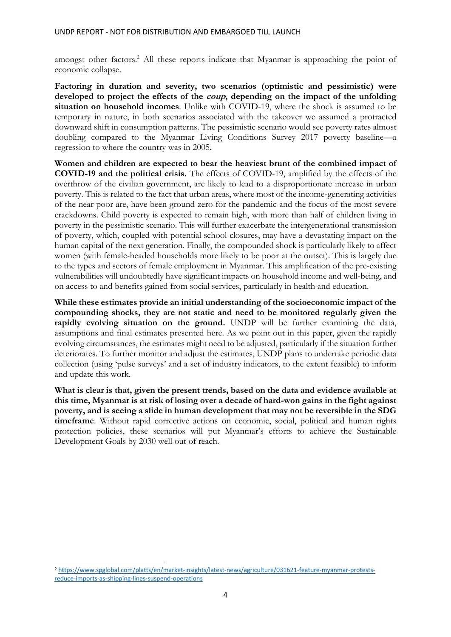amongst other factors. <sup>2</sup> All these reports indicate that Myanmar is approaching the point of economic collapse.

**Factoring in duration and severity, two scenarios (optimistic and pessimistic) were developed to project the effects of the coup, depending on the impact of the unfolding situation on household incomes**. Unlike with COVID-19, where the shock is assumed to be temporary in nature, in both scenarios associated with the takeover we assumed a protracted downward shift in consumption patterns. The pessimistic scenario would see poverty rates almost doubling compared to the Myanmar Living Conditions Survey 2017 poverty baseline—a regression to where the country was in 2005.

**Women and children are expected to bear the heaviest brunt of the combined impact of COVID-19 and the political crisis.** The effects of COVID-19, amplified by the effects of the overthrow of the civilian government, are likely to lead to a disproportionate increase in urban poverty. This is related to the fact that urban areas, where most of the income-generating activities of the near poor are, have been ground zero for the pandemic and the focus of the most severe crackdowns. Child poverty is expected to remain high, with more than half of children living in poverty in the pessimistic scenario. This will further exacerbate the intergenerational transmission of poverty, which, coupled with potential school closures, may have a devastating impact on the human capital of the next generation. Finally, the compounded shock is particularly likely to affect women (with female-headed households more likely to be poor at the outset). This is largely due to the types and sectors of female employment in Myanmar. This amplification of the pre-existing vulnerabilities will undoubtedly have significant impacts on household income and well-being, and on access to and benefits gained from social services, particularly in health and education.

**While these estimates provide an initial understanding of the socioeconomic impact of the compounding shocks, they are not static and need to be monitored regularly given the**  rapidly evolving situation on the ground. UNDP will be further examining the data, assumptions and final estimates presented here. As we point out in this paper, given the rapidly evolving circumstances, the estimates might need to be adjusted, particularly if the situation further deteriorates. To further monitor and adjust the estimates, UNDP plans to undertake periodic data collection (using 'pulse surveys' and a set of industry indicators, to the extent feasible) to inform and update this work.

**What is clear is that, given the present trends, based on the data and evidence available at this time, Myanmar is at risk of losing over a decade of hard-won gains in the fight against poverty, and is seeing a slide in human development that may not be reversible in the SDG timeframe**. Without rapid corrective actions on economic, social, political and human rights protection policies, these scenarios will put Myanmar's efforts to achieve the Sustainable Development Goals by 2030 well out of reach.

<sup>2</sup> [https://www.spglobal.com/platts/en/market-insights/latest-news/agriculture/031621-feature-myanmar-protests](https://www.spglobal.com/platts/en/market-insights/latest-news/agriculture/031621-feature-myanmar-protests-reduce-imports-as-shipping-lines-suspend-operations)[reduce-imports-as-shipping-lines-suspend-operations](https://www.spglobal.com/platts/en/market-insights/latest-news/agriculture/031621-feature-myanmar-protests-reduce-imports-as-shipping-lines-suspend-operations)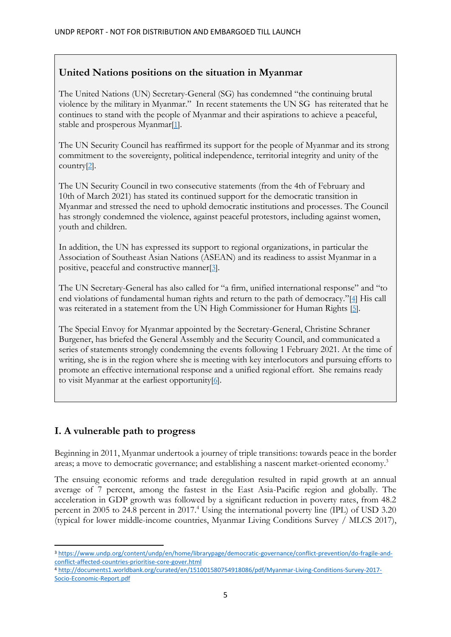## <span id="page-5-0"></span>**United Nations positions on the situation in Myanmar**

The United Nations (UN) Secretary-General (SG) has condemned "the continuing brutal violence by the military in Myanmar." In recent statements the UN SG has reiterated that he continues to stand with the people of Myanmar and their aspirations to achieve a peaceful, stable and prosperous Myanmar[\[1\]](https://eur03.safelinks.protection.outlook.com/?url=https%3A%2F%2Fwww.un.org%2Fsg%2Fen%2Fcontent%2Fstatement-attributable-the-spokesperson-for-the-secretary-general-myanmar&data=04%7C01%7Cclaire.van.der.vaeren%40undp.org%7C7eb46c4c73004827f31008d9044031d5%7Cb3e5db5e2944483799f57488ace54319%7C0%7C0%7C637545496016865131%7CUnknown%7CTWFpbGZsb3d8eyJWIjoiMC4wLjAwMDAiLCJQIjoiV2luMzIiLCJBTiI6Ik1haWwiLCJXVCI6Mn0%3D%7C1000&sdata=rRFd8dgB4L%2BlMTeb7wxu4S9Ylj7wpJQmmVhIC7H4vIY%3D&reserved=0).

The UN Security Council has reaffirmed its support for the people of Myanmar and its strong commitment to the sovereignty, political independence, territorial integrity and unity of the country[\[2\]](https://eur03.safelinks.protection.outlook.com/?url=https%3A%2F%2Fwww.securitycouncilreport.org%2Fatf%2Fcf%2F%257B65BFCF9B-6D27-4E9C-8CD3-CF6E4FF96FF9%257D%2Fs_prst_2021_5.pdf&data=04%7C01%7Cclaire.van.der.vaeren%40undp.org%7C7eb46c4c73004827f31008d9044031d5%7Cb3e5db5e2944483799f57488ace54319%7C0%7C0%7C637545496016875089%7CUnknown%7CTWFpbGZsb3d8eyJWIjoiMC4wLjAwMDAiLCJQIjoiV2luMzIiLCJBTiI6Ik1haWwiLCJXVCI6Mn0%3D%7C1000&sdata=n7osCGgz%2F1ZfvBrGIcsJK5lmPBZqYc9OlytKgnLcYYM%3D&reserved=0).

The UN Security Council in two consecutive statements (from the 4th of February and 10th of March 2021) has stated its continued support for the democratic transition in Myanmar and stressed the need to uphold democratic institutions and processes. The Council has strongly condemned the violence, against peaceful protestors, including against women, youth and children.

In addition, the UN has expressed its support to regional organizations, in particular the Association of Southeast Asian Nations (ASEAN) and its readiness to assist Myanmar in a positive, peaceful and constructive manner[\[3\]](https://eur03.safelinks.protection.outlook.com/?url=https%3A%2F%2Fwww.securitycouncilreport.org%2Fatf%2Fcf%2F%257B65BFCF9B-6D27-4E9C-8CD3-CF6E4FF96FF9%257D%2Fs_prst_2021_5.pdf&data=04%7C01%7Cclaire.van.der.vaeren%40undp.org%7C7eb46c4c73004827f31008d9044031d5%7Cb3e5db5e2944483799f57488ace54319%7C0%7C0%7C637545496016875089%7CUnknown%7CTWFpbGZsb3d8eyJWIjoiMC4wLjAwMDAiLCJQIjoiV2luMzIiLCJBTiI6Ik1haWwiLCJXVCI6Mn0%3D%7C1000&sdata=n7osCGgz%2F1ZfvBrGIcsJK5lmPBZqYc9OlytKgnLcYYM%3D&reserved=0).

The UN Secretary-General has also called for "a firm, unified international response" and "to end violations of fundamental human rights and return to the path of democracy."[\[4\]](https://eur03.safelinks.protection.outlook.com/?url=https%3A%2F%2Fwww.un.org%2Fsg%2Fen%2Fcontent%2Fstatement-attributable-the-spokesperson-for-the-secretary-general-myanmar&data=04%7C01%7Cclaire.van.der.vaeren%40undp.org%7C7eb46c4c73004827f31008d9044031d5%7Cb3e5db5e2944483799f57488ace54319%7C0%7C0%7C637545496016885052%7CUnknown%7CTWFpbGZsb3d8eyJWIjoiMC4wLjAwMDAiLCJQIjoiV2luMzIiLCJBTiI6Ik1haWwiLCJXVCI6Mn0%3D%7C1000&sdata=zHbvtOZ8Trxg0BGGNAUnEhDqbm79pVqApTGblSMO3bY%3D&reserved=0) His call was reiterated in a statement from the UN High Commissioner for Human Rights [\[5\]](https://eur03.safelinks.protection.outlook.com/?url=https%3A%2F%2Fnews.un.org%2Fen%2Fstory%2F2021%2F04%2F1089612&data=04%7C01%7Cclaire.van.der.vaeren%40undp.org%7C7eb46c4c73004827f31008d9044031d5%7Cb3e5db5e2944483799f57488ace54319%7C0%7C0%7C637545496016885052%7CUnknown%7CTWFpbGZsb3d8eyJWIjoiMC4wLjAwMDAiLCJQIjoiV2luMzIiLCJBTiI6Ik1haWwiLCJXVCI6Mn0%3D%7C1000&sdata=Qx6M49VQ1K6uEE2AUDiVNZHfhcXNmtLbYcvRrENa7sI%3D&reserved=0).

The Special Envoy for Myanmar appointed by the Secretary-General, Christine Schraner Burgener, has briefed the General Assembly and the Security Council, and communicated a series of statements strongly condemning the events following 1 February 2021. At the time of writing, she is in the region where she is meeting with key interlocutors and pursuing efforts to promote an effective international response and a unified regional effort. She remains ready to visit Myanmar at the earliest opportunity[\[6\]](https://eur03.safelinks.protection.outlook.com/?url=https%3A%2F%2Fwww.un.org%2Fpress%2Fen%2F2021%2Fdb210412.doc.htm&data=04%7C01%7Cclaire.van.der.vaeren%40undp.org%7C7eb46c4c73004827f31008d9044031d5%7Cb3e5db5e2944483799f57488ace54319%7C0%7C0%7C637545496016885052%7CUnknown%7CTWFpbGZsb3d8eyJWIjoiMC4wLjAwMDAiLCJQIjoiV2luMzIiLCJBTiI6Ik1haWwiLCJXVCI6Mn0%3D%7C1000&sdata=WZuagmhOdNkCYczOv0zjmqia5JIUwm6DGczNC2IhIEI%3D&reserved=0).

## <span id="page-5-1"></span>**I. A vulnerable path to progress**

Beginning in 2011, Myanmar undertook a journey of triple transitions: towards peace in the border areas; a move to democratic governance; and establishing a nascent market-oriented economy.<sup>3</sup>

The ensuing economic reforms and trade deregulation resulted in rapid growth at an annual average of 7 percent, among the fastest in the East Asia-Pacific region and globally. The acceleration in GDP growth was followed by a significant reduction in poverty rates, from 48.2 percent in 2005 to 24.8 percent in 2017.<sup>4</sup> Using the international poverty line (IPL) of USD 3.20 (typical for lower middle-income countries, Myanmar Living Conditions Survey / MLCS 2017),

<sup>3</sup> [https://www.undp.org/content/undp/en/home/librarypage/democratic-governance/conflict-prevention/do-fragile-and](https://www.undp.org/content/undp/en/home/librarypage/democratic-governance/conflict-prevention/do-fragile-and-conflict-affected-countries-prioritise-core-gover.html)[conflict-affected-countries-prioritise-core-gover.html](https://www.undp.org/content/undp/en/home/librarypage/democratic-governance/conflict-prevention/do-fragile-and-conflict-affected-countries-prioritise-core-gover.html)

<sup>4</sup> [http://documents1.worldbank.org/curated/en/151001580754918086/pdf/Myanmar-Living-Conditions-Survey-2017-](http://documents1.worldbank.org/curated/en/151001580754918086/pdf/Myanmar-Living-Conditions-Survey-2017-Socio-Economic-Report.pdf) [Socio-Economic-Report.pdf](http://documents1.worldbank.org/curated/en/151001580754918086/pdf/Myanmar-Living-Conditions-Survey-2017-Socio-Economic-Report.pdf)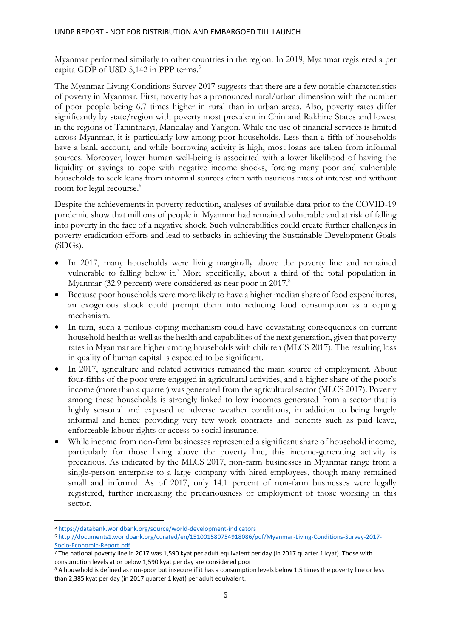Myanmar performed similarly to other countries in the region. In 2019, Myanmar registered a per capita GDP of USD 5,142 in PPP terms. 5

The Myanmar Living Conditions Survey 2017 suggests that there are a few notable characteristics of poverty in Myanmar. First, poverty has a pronounced rural/urban dimension with the number of poor people being 6.7 times higher in rural than in urban areas. Also, poverty rates differ significantly by state/region with poverty most prevalent in Chin and Rakhine States and lowest in the regions of Tanintharyi, Mandalay and Yangon. While the use of financial services is limited across Myanmar, it is particularly low among poor households. Less than a fifth of households have a bank account, and while borrowing activity is high, most loans are taken from informal sources. Moreover, lower human well-being is associated with a lower likelihood of having the liquidity or savings to cope with negative income shocks, forcing many poor and vulnerable households to seek loans from informal sources often with usurious rates of interest and without room for legal recourse. 6

Despite the achievements in poverty reduction, analyses of available data prior to the COVID-19 pandemic show that millions of people in Myanmar had remained vulnerable and at risk of falling into poverty in the face of a negative shock. Such vulnerabilities could create further challenges in poverty eradication efforts and lead to setbacks in achieving the Sustainable Development Goals (SDGs).

- In 2017, many households were living marginally above the poverty line and remained vulnerable to falling below it.<sup>7</sup> More specifically, about a third of the total population in Myanmar (32.9 percent) were considered as near poor in 2017.<sup>8</sup>
- Because poor households were more likely to have a higher median share of food expenditures, an exogenous shock could prompt them into reducing food consumption as a coping mechanism.
- In turn, such a perilous coping mechanism could have devastating consequences on current household health as well as the health and capabilities of the next generation, given that poverty rates in Myanmar are higher among households with children (MLCS 2017). The resulting loss in quality of human capital is expected to be significant.
- In 2017, agriculture and related activities remained the main source of employment. About four-fifths of the poor were engaged in agricultural activities, and a higher share of the poor's income (more than a quarter) was generated from the agricultural sector (MLCS 2017). Poverty among these households is strongly linked to low incomes generated from a sector that is highly seasonal and exposed to adverse weather conditions, in addition to being largely informal and hence providing very few work contracts and benefits such as paid leave, enforceable labour rights or access to social insurance.
- While income from non-farm businesses represented a significant share of household income, particularly for those living above the poverty line, this income-generating activity is precarious. As indicated by the MLCS 2017, non-farm businesses in Myanmar range from a single-person enterprise to a large company with hired employees, though many remained small and informal. As of 2017, only 14.1 percent of non-farm businesses were legally registered, further increasing the precariousness of employment of those working in this sector.

<sup>5</sup> <https://databank.worldbank.org/source/world-development-indicators>

<sup>6</sup> [http://documents1.worldbank.org/curated/en/151001580754918086/pdf/Myanmar-Living-Conditions-Survey-2017-](http://documents1.worldbank.org/curated/en/151001580754918086/pdf/Myanmar-Living-Conditions-Survey-2017-Socio-Economic-Report.pdf) [Socio-Economic-Report.pdf](http://documents1.worldbank.org/curated/en/151001580754918086/pdf/Myanmar-Living-Conditions-Survey-2017-Socio-Economic-Report.pdf)

<sup>7</sup> The national poverty line in 2017 was 1,590 kyat per adult equivalent per day (in 2017 quarter 1 kyat). Those with consumption levels at or below 1,590 kyat per day are considered poor.

<sup>8</sup> A household is defined as non-poor but insecure if it has a consumption levels below 1.5 times the poverty line or less than 2,385 kyat per day (in 2017 quarter 1 kyat) per adult equivalent.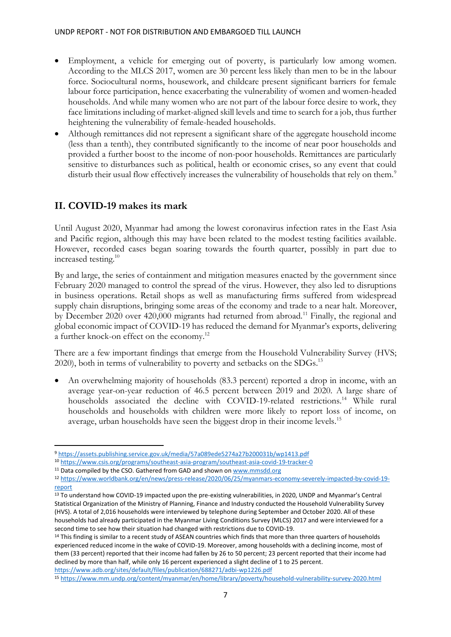- Employment, a vehicle for emerging out of poverty, is particularly low among women. According to the MLCS 2017, women are 30 percent less likely than men to be in the labour force. Sociocultural norms, housework, and childcare present significant barriers for female labour force participation, hence exacerbating the vulnerability of women and women-headed households. And while many women who are not part of the labour force desire to work, they face limitations including of market-aligned skill levels and time to search for a job, thus further heightening the vulnerability of female-headed households.
- Although remittances did not represent a significant share of the aggregate household income (less than a tenth), they contributed significantly to the income of near poor households and provided a further boost to the income of non-poor households. Remittances are particularly sensitive to disturbances such as political, health or economic crises, so any event that could disturb their usual flow effectively increases the vulnerability of households that rely on them.<sup>9</sup>

### <span id="page-7-0"></span>**II. COVID-19 makes its mark**

Until August 2020, Myanmar had among the lowest coronavirus infection rates in the East Asia and Pacific region, although this may have been related to the modest testing facilities available. However, recorded cases began soaring towards the fourth quarter, possibly in part due to increased testing. 10

By and large, the series of containment and mitigation measures enacted by the government since February 2020 managed to control the spread of the virus. However, they also led to disruptions in business operations. Retail shops as well as manufacturing firms suffered from widespread supply chain disruptions, bringing some areas of the economy and trade to a near halt. Moreover, by December 2020 over 420,000 migrants had returned from abroad.<sup>11</sup> Finally, the regional and global economic impact of COVID-19 has reduced the demand for Myanmar's exports, delivering a further knock-on effect on the economy.<sup>12</sup>

There are a few important findings that emerge from the Household Vulnerability Survey (HVS; 2020), both in terms of vulnerability to poverty and setbacks on the SDGs.<sup>13</sup>

• An overwhelming majority of households (83.3 percent) reported a drop in income, with an average year-on-year reduction of 46.5 percent between 2019 and 2020. A large share of households associated the decline with COVID-19-related restrictions.<sup>14</sup> While rural households and households with children were more likely to report loss of income, on average, urban households have seen the biggest drop in their income levels.<sup>15</sup>

<sup>9</sup> <https://assets.publishing.service.gov.uk/media/57a089ede5274a27b200031b/wp1413.pdf>

<sup>10</sup> <https://www.csis.org/programs/southeast-asia-program/southeast-asia-covid-19-tracker-0>

<sup>&</sup>lt;sup>11</sup> Data compiled by the CSO. Gathered from GAD and shown on [www.mmsdd.org](http://www.mmsdd.org/)

<sup>12</sup> [https://www.worldbank.org/en/news/press-release/2020/06/25/myanmars-economy-severely-impacted-by-covid-19](https://www.worldbank.org/en/news/press-release/2020/06/25/myanmars-economy-severely-impacted-by-covid-19-report) [report](https://www.worldbank.org/en/news/press-release/2020/06/25/myanmars-economy-severely-impacted-by-covid-19-report)

<sup>&</sup>lt;sup>13</sup> To understand how COVID-19 impacted upon the pre-existing vulnerabilities, in 2020, UNDP and Myanmar's Central Statistical Organization of the Ministry of Planning, Finance and Industry conducted the Household Vulnerability Survey (HVS). A total of 2,016 households were interviewed by telephone during September and October 2020. All of these households had already participated in the Myanmar Living Conditions Survey (MLCS) 2017 and were interviewed for a second time to see how their situation had changed with restrictions due to COVID-19.

<sup>&</sup>lt;sup>14</sup> This finding is similar to a recent study of ASEAN countries which finds that more than three quarters of households experienced reduced income in the wake of COVID-19. Moreover, among households with a declining income, most of them (33 percent) reported that their income had fallen by 26 to 50 percent; 23 percent reported that their income had declined by more than half, while only 16 percent experienced a slight decline of 1 to 25 percent.

<https://www.adb.org/sites/default/files/publication/688271/adbi-wp1226.pdf>

<sup>15</sup> <https://www.mm.undp.org/content/myanmar/en/home/library/poverty/household-vulnerability-survey-2020.html>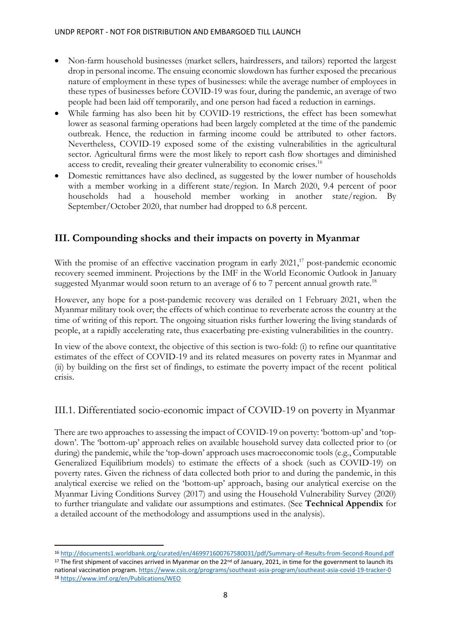- Non-farm household businesses (market sellers, hairdressers, and tailors) reported the largest drop in personal income. The ensuing economic slowdown has further exposed the precarious nature of employment in these types of businesses: while the average number of employees in these types of businesses before COVID-19 was four, during the pandemic, an average of two people had been laid off temporarily, and one person had faced a reduction in earnings.
- While farming has also been hit by COVID-19 restrictions, the effect has been somewhat lower as seasonal farming operations had been largely completed at the time of the pandemic outbreak. Hence, the reduction in farming income could be attributed to other factors. Nevertheless, COVID-19 exposed some of the existing vulnerabilities in the agricultural sector. Agricultural firms were the most likely to report cash flow shortages and diminished access to credit, revealing their greater vulnerability to economic crises.<sup>16</sup>
- Domestic remittances have also declined, as suggested by the lower number of households with a member working in a different state/region. In March 2020, 9.4 percent of poor households had a household member working in another state/region. By September/October 2020, that number had dropped to 6.8 percent.

## <span id="page-8-0"></span>**III. Compounding shocks and their impacts on poverty in Myanmar**

With the promise of an effective vaccination program in early  $2021$ ,<sup>17</sup> post-pandemic economic recovery seemed imminent. Projections by the IMF in the World Economic Outlook in January suggested Myanmar would soon return to an average of 6 to 7 percent annual growth rate.<sup>18</sup>

However, any hope for a post-pandemic recovery was derailed on 1 February 2021, when the Myanmar military took over; the effects of which continue to reverberate across the country at the time of writing of this report. The ongoing situation risks further lowering the living standards of people, at a rapidly accelerating rate, thus exacerbating pre-existing vulnerabilities in the country.

In view of the above context, the objective of this section is two-fold: (i) to refine our quantitative estimates of the effect of COVID-19 and its related measures on poverty rates in Myanmar and (ii) by building on the first set of findings, to estimate the poverty impact of the recent political crisis.

### <span id="page-8-1"></span>III.1. Differentiated socio-economic impact of COVID-19 on poverty in Myanmar

There are two approaches to assessing the impact of COVID-19 on poverty: 'bottom-up' and 'topdown'. The 'bottom-up' approach relies on available household survey data collected prior to (or during) the pandemic, while the 'top-down' approach uses macroeconomic tools (e.g., Computable Generalized Equilibrium models) to estimate the effects of a shock (such as COVID-19) on poverty rates. Given the richness of data collected both prior to and during the pandemic, in this analytical exercise we relied on the 'bottom-up' approach, basing our analytical exercise on the Myanmar Living Conditions Survey (2017) and using the Household Vulnerability Survey (2020) to further triangulate and validate our assumptions and estimates. (See **[Technical Appendix](#page-17-0)** for a detailed account of the methodology and assumptions used in the analysis).

<sup>16</sup> <http://documents1.worldbank.org/curated/en/469971600767580031/pdf/Summary-of-Results-from-Second-Round.pdf> <sup>17</sup> The first shipment of vaccines arrived in Myanmar on the 22<sup>nd</sup> of January, 2021, in time for the government to launch its national vaccination program[. https://www.csis.org/programs/southeast-asia-program/southeast-asia-covid-19-tracker-0](https://www.csis.org/programs/southeast-asia-program/southeast-asia-covid-19-tracker-0) <sup>18</sup> <https://www.imf.org/en/Publications/WEO>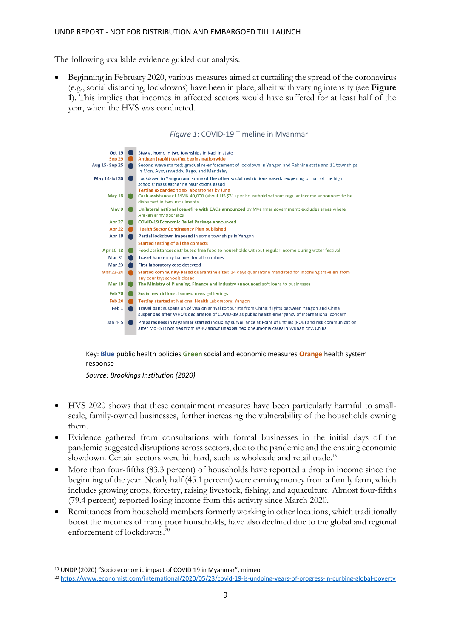The following available evidence guided our analysis:

• Beginning in February 2020, various measures aimed at curtailing the spread of the coronavirus (e.g., social distancing, lockdowns) have been in place, albeit with varying intensity (see **[Figure](#page-9-0)  [1](#page-9-0)**). This implies that incomes in affected sectors would have suffered for at least half of the year, when the HVS was conducted.

#### *Figure 1*: COVID-19 Timeline in Myanmar

<span id="page-9-0"></span>

Key: **Blue** public health policies **Green** social and economic measures **Orange** health system response

*Source: Brookings Institution (2020)*

- HVS 2020 shows that these containment measures have been particularly harmful to smallscale, family-owned businesses, further increasing the vulnerability of the households owning them.
- Evidence gathered from consultations with formal businesses in the initial days of the pandemic suggested disruptions across sectors, due to the pandemic and the ensuing economic slowdown. Certain sectors were hit hard, such as wholesale and retail trade.<sup>19</sup>
- More than four-fifths (83.3 percent) of households have reported a drop in income since the beginning of the year. Nearly half (45.1 percent) were earning money from a family farm, which includes growing crops, forestry, raising livestock, fishing, and aquaculture. Almost four-fifths (79.4 percent) reported losing income from this activity since March 2020.
- Remittances from household members formerly working in other locations, which traditionally boost the incomes of many poor households, have also declined due to the global and regional enforcement of lockdowns.<sup>20</sup>

<sup>19</sup> UNDP (2020) "Socio economic impact of COVID 19 in Myanmar", mimeo

<sup>20</sup> <https://www.economist.com/international/2020/05/23/covid-19-is-undoing-years-of-progress-in-curbing-global-poverty>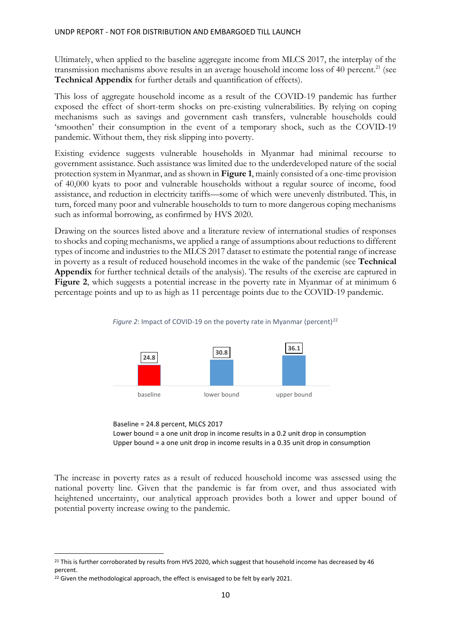Ultimately, when applied to the baseline aggregate income from MLCS 2017, the interplay of the transmission mechanisms above results in an average household income loss of 40 percent.<sup>21</sup> (see **[Technical Appendix](#page-17-0)** for further details and quantification of effects).

This loss of aggregate household income as a result of the COVID-19 pandemic has further exposed the effect of short-term shocks on pre-existing vulnerabilities. By relying on coping mechanisms such as savings and government cash transfers, vulnerable households could 'smoothen' their consumption in the event of a temporary shock, such as the COVID-19 pandemic. Without them, they risk slipping into poverty.

Existing evidence suggests vulnerable households in Myanmar had minimal recourse to government assistance. Such assistance was limited due to the underdeveloped nature of the social protection system in Myanmar, and as shown in **[Figure 1](#page-9-0)**, mainly consisted of a one-time provision of 40,000 kyats to poor and vulnerable households without a regular source of income, food assistance, and reduction in electricity tariffs—some of which were unevenly distributed. This, in turn, forced many poor and vulnerable households to turn to more dangerous coping mechanisms such as informal borrowing, as confirmed by HVS 2020.

Drawing on the sources listed above and a literature review of international studies of responses to shocks and coping mechanisms, we applied a range of assumptions about reductions to different types of income and industries to the MLCS 2017 dataset to estimate the potential range of increase in poverty as a result of reduced household incomes in the wake of the pandemic (see **[Technical](#page-17-0)  [Appendix](#page-17-0)** for further technical details of the analysis). The results of the exercise are captured in **[Figure 2](#page-10-0)**, which suggests a potential increase in the poverty rate in Myanmar of at minimum 6 percentage points and up to as high as 11 percentage points due to the COVID-19 pandemic.

<span id="page-10-0"></span>



Baseline = 24.8 percent, MLCS 2017 Lower bound = a one unit drop in income results in a 0.2 unit drop in consumption Upper bound = a one unit drop in income results in a 0.35 unit drop in consumption

The increase in poverty rates as a result of reduced household income was assessed using the national poverty line. Given that the pandemic is far from over, and thus associated with heightened uncertainty, our analytical approach provides both a lower and upper bound of potential poverty increase owing to the pandemic.

<sup>&</sup>lt;sup>21</sup> This is further corroborated by results from HVS 2020, which suggest that household income has decreased by 46 percent.

<sup>&</sup>lt;sup>22</sup> Given the methodological approach, the effect is envisaged to be felt by early 2021.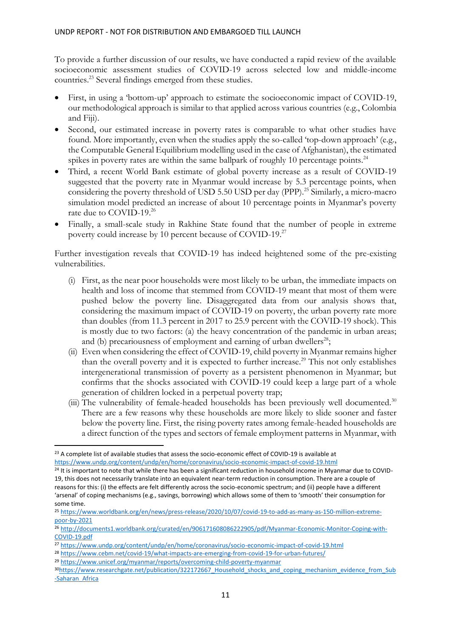To provide a further discussion of our results, we have conducted a rapid review of the available socioeconomic assessment studies of COVID-19 across selected low and middle-income countries.<sup>23</sup> Several findings emerged from these studies.

- First, in using a 'bottom-up' approach to estimate the socioeconomic impact of COVID-19, our methodological approach is similar to that applied across various countries (e.g., Colombia and Fiji).
- Second, our estimated increase in poverty rates is comparable to what other studies have found. More importantly, even when the studies apply the so-called 'top-down approach' (e.g., the Computable General Equilibrium modelling used in the case of Afghanistan), the estimated spikes in poverty rates are within the same ballpark of roughly 10 percentage points.<sup>24</sup>
- Third, a recent World Bank estimate of global poverty increase as a result of COVID-19 suggested that the poverty rate in Myanmar would increase by 5.3 percentage points, when considering the poverty threshold of USD 5.50 USD per day (PPP).<sup>25</sup> Similarly, a micro-macro simulation model predicted an increase of about 10 percentage points in Myanmar's poverty rate due to COVID-19.<sup>26</sup>
- Finally, a small-scale study in Rakhine State found that the number of people in extreme poverty could increase by 10 percent because of COVID-19.<sup>27</sup>

Further investigation reveals that COVID-19 has indeed heightened some of the pre-existing vulnerabilities.

- (i) First, as the near poor households were most likely to be urban, the immediate impacts on health and loss of income that stemmed from COVID-19 meant that most of them were pushed below the poverty line. Disaggregated data from our analysis shows that, considering the maximum impact of COVID-19 on poverty, the urban poverty rate more than doubles (from 11.3 percent in 2017 to 25.9 percent with the COVID-19 shock). This is mostly due to two factors: (a) the heavy concentration of the pandemic in urban areas; and (b) precariousness of employment and earning of urban dwellers<sup>28</sup>;
- (ii) Even when considering the effect of COVID-19, child poverty in Myanmar remains higher than the overall poverty and it is expected to further increase.<sup>29</sup> This not only establishes intergenerational transmission of poverty as a persistent phenomenon in Myanmar; but confirms that the shocks associated with COVID-19 could keep a large part of a whole generation of children locked in a perpetual poverty trap;
- (iii) The vulnerability of female-headed households has been previously well documented.<sup>30</sup> There are a few reasons why these households are more likely to slide sooner and faster below the poverty line. First, the rising poverty rates among female-headed households are a direct function of the types and sectors of female employment patterns in Myanmar, with

<sup>&</sup>lt;sup>23</sup> A complete list of available studies that assess the socio-economic effect of COVID-19 is available at

<https://www.undp.org/content/undp/en/home/coronavirus/socio-economic-impact-of-covid-19.html>

 $24$  It is important to note that while there has been a significant reduction in household income in Myanmar due to COVID-19, this does not necessarily translate into an equivalent near-term reduction in consumption. There are a couple of reasons for this: (i) the effects are felt differently across the socio-economic spectrum; and (ii) people have a different 'arsenal' of coping mechanisms (e.g., savings, borrowing) which allows some of them to 'smooth' their consumption for some time.

<sup>25</sup> [https://www.worldbank.org/en/news/press-release/2020/10/07/covid-19-to-add-as-many-as-150-million-extreme](https://www.worldbank.org/en/news/press-release/2020/10/07/covid-19-to-add-as-many-as-150-million-extreme-poor-by-2021)[poor-by-2021](https://www.worldbank.org/en/news/press-release/2020/10/07/covid-19-to-add-as-many-as-150-million-extreme-poor-by-2021)

<sup>26</sup> [http://documents1.worldbank.org/curated/en/906171608086222905/pdf/Myanmar-Economic-Monitor-Coping-with-](http://documents1.worldbank.org/curated/en/906171608086222905/pdf/Myanmar-Economic-Monitor-Coping-with-COVID-19.pdf)[COVID-19.pdf](http://documents1.worldbank.org/curated/en/906171608086222905/pdf/Myanmar-Economic-Monitor-Coping-with-COVID-19.pdf)

<sup>27</sup> <https://www.undp.org/content/undp/en/home/coronavirus/socio-economic-impact-of-covid-19.html>

<sup>28</sup> <https://www.cebm.net/covid-19/what-impacts-are-emerging-from-covid-19-for-urban-futures/>

<sup>29</sup> <https://www.unicef.org/myanmar/reports/overcoming-child-poverty-myanmar>

<sup>30</sup>[https://www.researchgate.net/publication/322172667\\_Household\\_shocks\\_and\\_coping\\_mechanism\\_evidence\\_from\\_Sub](https://www.researchgate.net/publication/322172667_Household_shocks_and_coping_mechanism_evidence_from_Sub-Saharan_Africa) [-Saharan\\_Africa](https://www.researchgate.net/publication/322172667_Household_shocks_and_coping_mechanism_evidence_from_Sub-Saharan_Africa)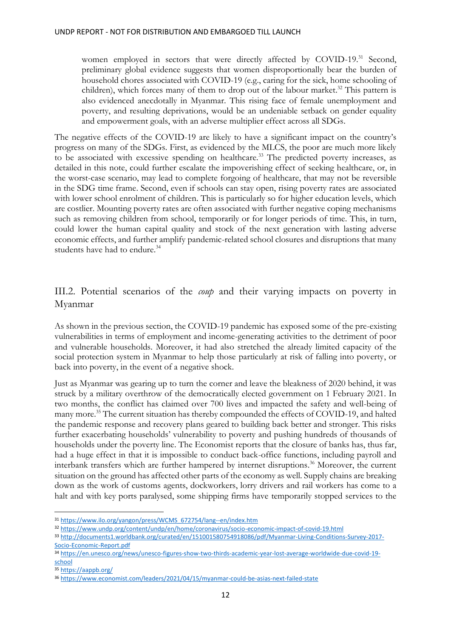women employed in sectors that were directly affected by COVID-19.<sup>31</sup> Second, preliminary global evidence suggests that women disproportionally bear the burden of household chores associated with COVID-19 (e.g., caring for the sick, home schooling of children), which forces many of them to drop out of the labour market. <sup>32</sup> This pattern is also evidenced anecdotally in Myanmar. This rising face of female unemployment and poverty, and resulting deprivations, would be an undeniable setback on gender equality and empowerment goals, with an adverse multiplier effect across all SDGs.

The negative effects of the COVID-19 are likely to have a significant impact on the country's progress on many of the SDGs. First, as evidenced by the MLCS, the poor are much more likely to be associated with excessive spending on healthcare.<sup>33</sup> The predicted poverty increases, as detailed in this note, could further escalate the impoverishing effect of seeking healthcare, or, in the worst-case scenario, may lead to complete forgoing of healthcare, that may not be reversible in the SDG time frame. Second, even if schools can stay open, rising poverty rates are associated with lower school enrolment of children. This is particularly so for higher education levels, which are costlier. Mounting poverty rates are often associated with further negative coping mechanisms such as removing children from school, temporarily or for longer periods of time. This, in turn, could lower the human capital quality and stock of the next generation with lasting adverse economic effects, and further amplify pandemic-related school closures and disruptions that many students have had to endure.<sup>34</sup>

## <span id="page-12-0"></span>III.2. Potential scenarios of the *coup* and their varying impacts on poverty in Myanmar

As shown in the previous section, the COVID-19 pandemic has exposed some of the pre-existing vulnerabilities in terms of employment and income-generating activities to the detriment of poor and vulnerable households. Moreover, it had also stretched the already limited capacity of the social protection system in Myanmar to help those particularly at risk of falling into poverty, or back into poverty, in the event of a negative shock.

Just as Myanmar was gearing up to turn the corner and leave the bleakness of 2020 behind, it was struck by a military overthrow of the democratically elected government on 1 February 2021. In two months, the conflict has claimed over 700 lives and impacted the safety and well-being of many more. <sup>35</sup> The current situation has thereby compounded the effects of COVID-19, and halted the pandemic response and recovery plans geared to building back better and stronger. This risks further exacerbating households' vulnerability to poverty and pushing hundreds of thousands of households under the poverty line. The Economist reports that the closure of banks has, thus far, had a huge effect in that it is impossible to conduct back-office functions, including payroll and interbank transfers which are further hampered by internet disruptions. <sup>36</sup> Moreover, the current situation on the ground has affected other parts of the economy as well. Supply chains are breaking down as the work of customs agents, dockworkers, lorry drivers and rail workers has come to a halt and with key ports paralysed, some shipping firms have temporarily stopped services to the

<sup>31</sup> [https://www.ilo.org/yangon/press/WCMS\\_672754/lang--en/index.htm](https://www.ilo.org/yangon/press/WCMS_672754/lang--en/index.htm)

<sup>32</sup> <https://www.undp.org/content/undp/en/home/coronavirus/socio-economic-impact-of-covid-19.html>

<sup>33</sup> [http://documents1.worldbank.org/curated/en/151001580754918086/pdf/Myanmar-Living-Conditions-Survey-2017-](http://documents1.worldbank.org/curated/en/151001580754918086/pdf/Myanmar-Living-Conditions-Survey-2017-Socio-Economic-Report.pdf) [Socio-Economic-Report.pdf](http://documents1.worldbank.org/curated/en/151001580754918086/pdf/Myanmar-Living-Conditions-Survey-2017-Socio-Economic-Report.pdf)

<sup>34</sup> [https://en.unesco.org/news/unesco-figures-show-two-thirds-academic-year-lost-average-worldwide-due-covid-19](https://en.unesco.org/news/unesco-figures-show-two-thirds-academic-year-lost-average-worldwide-due-covid-19-school) [school](https://en.unesco.org/news/unesco-figures-show-two-thirds-academic-year-lost-average-worldwide-due-covid-19-school)

<sup>35</sup> <https://aappb.org/>

<sup>36</sup> <https://www.economist.com/leaders/2021/04/15/myanmar-could-be-asias-next-failed-state>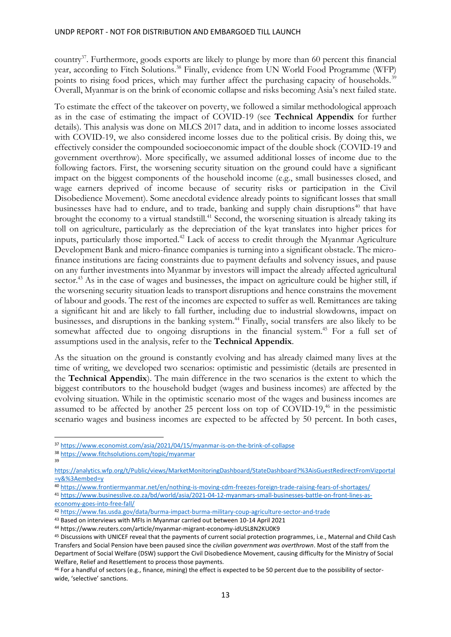country<sup>37</sup>. Furthermore, goods exports are likely to plunge by more than 60 percent this financial year, according to Fitch Solutions.<sup>38</sup> Finally, evidence from UN World Food Programme (WFP) points to rising food prices, which may further affect the purchasing capacity of households.<sup>39</sup> Overall, Myanmar is on the brink of economic collapse and risks becoming Asia's next failed state.

To estimate the effect of the takeover on poverty, we followed a similar methodological approach as in the case of estimating the impact of COVID-19 (see **[Technical Appendix](#page-17-0)** for further details). This analysis was done on MLCS 2017 data, and in addition to income losses associated with COVID-19, we also considered income losses due to the political crisis. By doing this, we effectively consider the compounded socioeconomic impact of the double shock (COVID-19 and government overthrow). More specifically, we assumed additional losses of income due to the following factors. First, the worsening security situation on the ground could have a significant impact on the biggest components of the household income (e.g., small businesses closed, and wage earners deprived of income because of security risks or participation in the Civil Disobedience Movement). Some anecdotal evidence already points to significant losses that small businesses have had to endure, and to trade, banking and supply chain disruptions<sup>40</sup> that have brought the economy to a virtual standstill. <sup>41</sup> Second, the worsening situation is already taking its toll on agriculture, particularly as the depreciation of the kyat translates into higher prices for inputs, particularly those imported.<sup>42</sup> Lack of access to credit through the Myanmar Agriculture Development Bank and micro-finance companies is turning into a significant obstacle. The microfinance institutions are facing constraints due to payment defaults and solvency issues, and pause on any further investments into Myanmar by investors will impact the already affected agricultural sector.<sup>43</sup> As in the case of wages and businesses, the impact on agriculture could be higher still, if the worsening security situation leads to transport disruptions and hence constrains the movement of labour and goods. The rest of the incomes are expected to suffer as well. Remittances are taking a significant hit and are likely to fall further, including due to industrial slowdowns, impact on businesses, and disruptions in the banking system.<sup>44</sup> Finally, social transfers are also likely to be somewhat affected due to ongoing disruptions in the financial system.<sup>45</sup> For a full set of assumptions used in the analysis, refer to the **[Technical Appendix](#page-17-0)**.

As the situation on the ground is constantly evolving and has already claimed many lives at the time of writing, we developed two scenarios: optimistic and pessimistic (details are presented in the **[Technical Appendix](#page-17-0)**). The main difference in the two scenarios is the extent to which the biggest contributors to the household budget (wages and business incomes) are affected by the evolving situation. While in the optimistic scenario most of the wages and business incomes are assumed to be affected by another 25 percent loss on top of COVID-19, <sup>46</sup> in the pessimistic scenario wages and business incomes are expected to be affected by 50 percent. In both cases,

<sup>37</sup> <https://www.economist.com/asia/2021/04/15/myanmar-is-on-the-brink-of-collapse>

<sup>38</sup> <https://www.fitchsolutions.com/topic/myanmar>

<sup>39</sup>

[https://analytics.wfp.org/t/Public/views/MarketMonitoringDashboard/StateDashboard?%3AisGuestRedirectFromVizportal](https://analytics.wfp.org/t/Public/views/MarketMonitoringDashboard/StateDashboard?%3AisGuestRedirectFromVizportal=y&%3Aembed=y) [=y&%3Aembed=y](https://analytics.wfp.org/t/Public/views/MarketMonitoringDashboard/StateDashboard?%3AisGuestRedirectFromVizportal=y&%3Aembed=y)

<sup>40</sup> <https://www.frontiermyanmar.net/en/nothing-is-moving-cdm-freezes-foreign-trade-raising-fears-of-shortages/>

<sup>41</sup> [https://www.businesslive.co.za/bd/world/asia/2021-04-12-myanmars-small-businesses-battle-on-front-lines-as](https://www.businesslive.co.za/bd/world/asia/2021-04-12-myanmars-small-businesses-battle-on-front-lines-as-economy-goes-into-free-fall/)[economy-goes-into-free-fall/](https://www.businesslive.co.za/bd/world/asia/2021-04-12-myanmars-small-businesses-battle-on-front-lines-as-economy-goes-into-free-fall/)

<sup>42</sup> <https://www.fas.usda.gov/data/burma-impact-burma-military-coup-agriculture-sector-and-trade>

<sup>43</sup> Based on interviews with MFIs in Myanmar carried out between 10-14 April 2021

<sup>44</sup> https://www.reuters.com/article/myanmar-migrant-economy-idUSL8N2KU0K9

<sup>45</sup> Discussions with UNICEF reveal that the payments of current social protection programmes, i.e., Maternal and Child Cash Transfers and Social Pension have been paused since the *civilian government was overthrown*. Most of the staff from the Department of Social Welfare (DSW) support the Civil Disobedience Movement, causing difficulty for the Ministry of Social Welfare, Relief and Resettlement to process those payments.

<sup>46</sup> For a handful of sectors (e.g., finance, mining) the effect is expected to be 50 percent due to the possibility of sectorwide, 'selective' sanctions.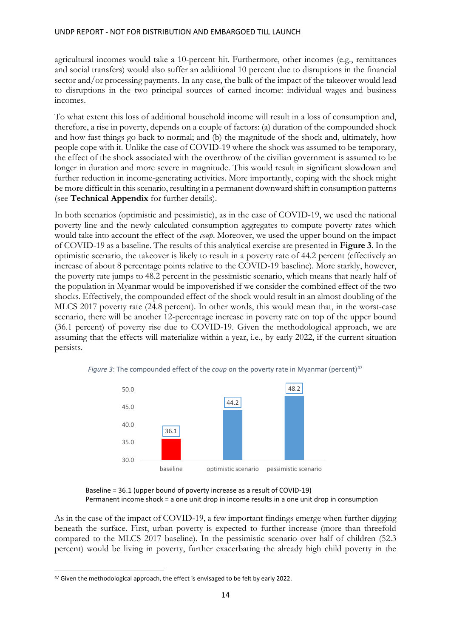agricultural incomes would take a 10-percent hit. Furthermore, other incomes (e.g., remittances and social transfers) would also suffer an additional 10 percent due to disruptions in the financial sector and/or processing payments. In any case, the bulk of the impact of the takeover would lead to disruptions in the two principal sources of earned income: individual wages and business incomes.

To what extent this loss of additional household income will result in a loss of consumption and, therefore, a rise in poverty, depends on a couple of factors: (a) duration of the compounded shock and how fast things go back to normal; and (b) the magnitude of the shock and, ultimately, how people cope with it. Unlike the case of COVID-19 where the shock was assumed to be temporary, the effect of the shock associated with the overthrow of the civilian government is assumed to be longer in duration and more severe in magnitude. This would result in significant slowdown and further reduction in income-generating activities. More importantly, coping with the shock might be more difficult in this scenario, resulting in a permanent downward shift in consumption patterns (see **[Technical Appendix](#page-17-0)** for further details).

In both scenarios (optimistic and pessimistic), as in the case of COVID-19, we used the national poverty line and the newly calculated consumption aggregates to compute poverty rates which would take into account the effect of the *coup*. Moreover, we used the upper bound on the impact of COVID-19 as a baseline. The results of this analytical exercise are presented in **[Figure 3](#page-14-0)**. In the optimistic scenario, the takeover is likely to result in a poverty rate of 44.2 percent (effectively an increase of about 8 percentage points relative to the COVID-19 baseline). More starkly, however, the poverty rate jumps to 48.2 percent in the pessimistic scenario, which means that nearly half of the population in Myanmar would be impoverished if we consider the combined effect of the two shocks. Effectively, the compounded effect of the shock would result in an almost doubling of the MLCS 2017 poverty rate (24.8 percent). In other words, this would mean that, in the worst-case scenario, there will be another 12-percentage increase in poverty rate on top of the upper bound (36.1 percent) of poverty rise due to COVID-19. Given the methodological approach, we are assuming that the effects will materialize within a year, i.e., by early 2022, if the current situation persists.



<span id="page-14-0"></span>*Figure 3*: The compounded effect of the *coup* on the poverty rate in Myanmar (percent)<sup>47</sup>

Baseline = 36.1 (upper bound of poverty increase as a result of COVID-19) Permanent income shock = a one unit drop in income results in a one unit drop in consumption

As in the case of the impact of COVID-19, a few important findings emerge when further digging beneath the surface. First, urban poverty is expected to further increase (more than threefold compared to the MLCS 2017 baseline). In the pessimistic scenario over half of children (52.3 percent) would be living in poverty, further exacerbating the already high child poverty in the

<sup>&</sup>lt;sup>47</sup> Given the methodological approach, the effect is envisaged to be felt by early 2022.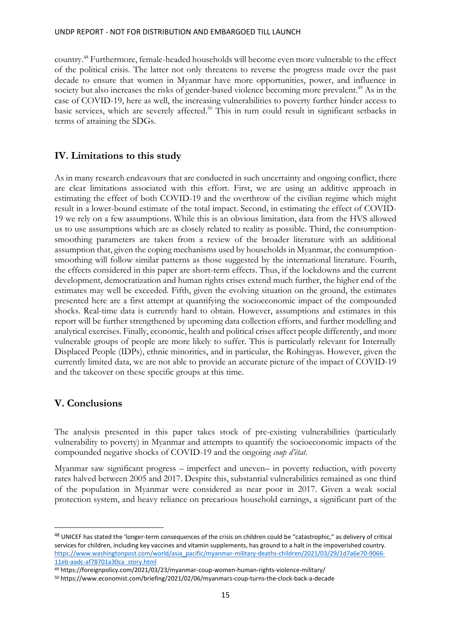country.<sup>48</sup> Furthermore, female-headed households will become even more vulnerable to the effect of the political crisis*.* The latter not only threatens to reverse the progress made over the past decade to ensure that women in Myanmar have more opportunities, power, and influence in society but also increases the risks of gender-based violence becoming more prevalent.<sup>49</sup> As in the case of COVID-19, here as well, the increasing vulnerabilities to poverty further hinder access to basic services, which are severely affected.<sup>50</sup> This in turn could result in significant setbacks in terms of attaining the SDGs.

### <span id="page-15-0"></span>**IV. Limitations to this study**

As in many research endeavours that are conducted in such uncertainty and ongoing conflict, there are clear limitations associated with this effort. First, we are using an additive approach in estimating the effect of both COVID-19 and the overthrow of the civilian regime which might result in a lower-bound estimate of the total impact. Second, in estimating the effect of COVID-19 we rely on a few assumptions. While this is an obvious limitation, data from the HVS allowed us to use assumptions which are as closely related to reality as possible. Third, the consumptionsmoothing parameters are taken from a review of the broader literature with an additional assumption that, given the coping mechanisms used by households in Myanmar, the consumptionsmoothing will follow similar patterns as those suggested by the international literature. Fourth, the effects considered in this paper are short-term effects. Thus, if the lockdowns and the current development, democratization and human rights crises extend much further, the higher end of the estimates may well be exceeded. Fifth, given the evolving situation on the ground, the estimates presented here are a first attempt at quantifying the socioeconomic impact of the compounded shocks. Real-time data is currently hard to obtain. However, assumptions and estimates in this report will be further strengthened by upcoming data collection efforts, and further modelling and analytical exercises. Finally, economic, health and political crises affect people differently, and more vulnerable groups of people are more likely to suffer. This is particularly relevant for Internally Displaced People (IDPs), ethnic minorities, and in particular, the Rohingyas. However, given the currently limited data, we are not able to provide an accurate picture of the impact of COVID-19 and the takeover on these specific groups at this time.

### <span id="page-15-1"></span>**V. Conclusions**

The analysis presented in this paper takes stock of pre-existing vulnerabilities (particularly vulnerability to poverty) in Myanmar and attempts to quantify the socioeconomic impacts of the compounded negative shocks of COVID-19 and the ongoing *coup d'état*.

Myanmar saw significant progress – imperfect and uneven– in poverty reduction, with poverty rates halved between 2005 and 2017. Despite this, substantial vulnerabilities remained as one third of the population in Myanmar were considered as near poor in 2017. Given a weak social protection system, and heavy reliance on precarious household earnings, a significant part of the

<sup>&</sup>lt;sup>48</sup> UNICEF has stated the 'longer-term consequences of the crisis on children could be "catastrophic," as delivery of critical services for children, including key vaccines and vitamin supplements, has ground to a halt in the impoverished country. [https://www.washingtonpost.com/world/asia\\_pacific/myanmar-military-deaths-children/2021/03/29/1d7a6e70-9066-](https://www.washingtonpost.com/world/asia_pacific/myanmar-military-deaths-children/2021/03/29/1d7a6e70-9066-11eb-aadc-af78701a30ca_story.html) [11eb-aadc-af78701a30ca\\_story.html](https://www.washingtonpost.com/world/asia_pacific/myanmar-military-deaths-children/2021/03/29/1d7a6e70-9066-11eb-aadc-af78701a30ca_story.html)

<sup>49</sup> https://foreignpolicy.com/2021/03/23/myanmar-coup-women-human-rights-violence-military/

<sup>50</sup> https://www.economist.com/briefing/2021/02/06/myanmars-coup-turns-the-clock-back-a-decade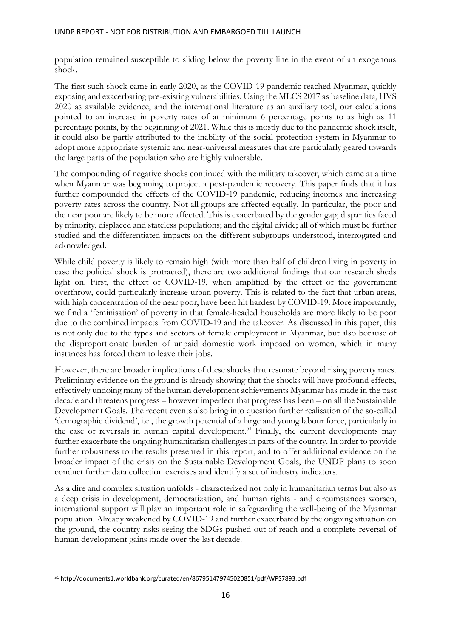population remained susceptible to sliding below the poverty line in the event of an exogenous shock.

The first such shock came in early 2020, as the COVID-19 pandemic reached Myanmar, quickly exposing and exacerbating pre-existing vulnerabilities. Using the MLCS 2017 as baseline data, HVS 2020 as available evidence, and the international literature as an auxiliary tool, our calculations pointed to an increase in poverty rates of at minimum 6 percentage points to as high as 11 percentage points, by the beginning of 2021. While this is mostly due to the pandemic shock itself, it could also be partly attributed to the inability of the social protection system in Myanmar to adopt more appropriate systemic and near-universal measures that are particularly geared towards the large parts of the population who are highly vulnerable.

The compounding of negative shocks continued with the military takeover, which came at a time when Myanmar was beginning to project a post-pandemic recovery. This paper finds that it has further compounded the effects of the COVID-19 pandemic, reducing incomes and increasing poverty rates across the country. Not all groups are affected equally. In particular, the poor and the near poor are likely to be more affected. This is exacerbated by the gender gap; disparities faced by minority, displaced and stateless populations; and the digital divide; all of which must be further studied and the differentiated impacts on the different subgroups understood, interrogated and acknowledged.

While child poverty is likely to remain high (with more than half of children living in poverty in case the political shock is protracted), there are two additional findings that our research sheds light on. First, the effect of COVID-19, when amplified by the effect of the government overthrow, could particularly increase urban poverty. This is related to the fact that urban areas, with high concentration of the near poor, have been hit hardest by COVID-19. More importantly, we find a 'feminisation' of poverty in that female-headed households are more likely to be poor due to the combined impacts from COVID-19 and the takeover. As discussed in this paper, this is not only due to the types and sectors of female employment in Myanmar, but also because of the disproportionate burden of unpaid domestic work imposed on women, which in many instances has forced them to leave their jobs.

However, there are broader implications of these shocks that resonate beyond rising poverty rates. Preliminary evidence on the ground is already showing that the shocks will have profound effects, effectively undoing many of the human development achievements Myanmar has made in the past decade and threatens progress – however imperfect that progress has been – on all the Sustainable Development Goals. The recent events also bring into question further realisation of the so-called 'demographic dividend', i.e., the growth potential of a large and young labour force, particularly in the case of reversals in human capital development.<sup>51</sup> Finally, the current developments may further exacerbate the ongoing humanitarian challenges in parts of the country. In order to provide further robustness to the results presented in this report, and to offer additional evidence on the broader impact of the crisis on the Sustainable Development Goals, the UNDP plans to soon conduct further data collection exercises and identify a set of industry indicators.

As a dire and complex situation unfolds - characterized not only in humanitarian terms but also as a deep crisis in development, democratization, and human rights - and circumstances worsen, international support will play an important role in safeguarding the well-being of the Myanmar population. Already weakened by COVID-19 and further exacerbated by the ongoing situation on the ground, the country risks seeing the SDGs pushed out-of-reach and a complete reversal of human development gains made over the last decade.

<sup>51</sup> http://documents1.worldbank.org/curated/en/867951479745020851/pdf/WPS7893.pdf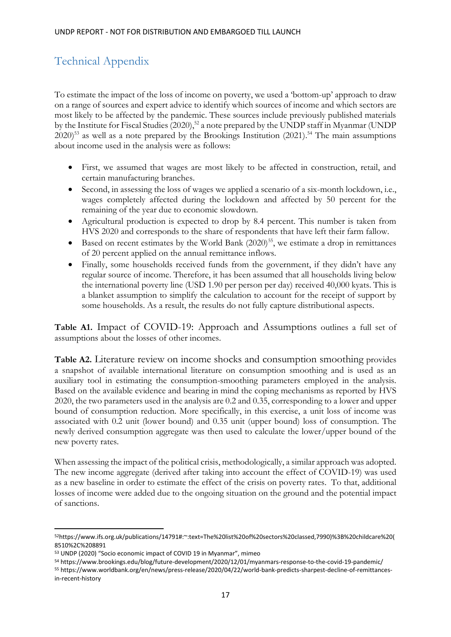## <span id="page-17-0"></span>Technical Appendix

To estimate the impact of the loss of income on poverty, we used a 'bottom-up' approach to draw on a range of sources and expert advice to identify which sources of income and which sectors are most likely to be affected by the pandemic. These sources include previously published materials by the Institute for Fiscal Studies (2020),<sup>52</sup> a note prepared by the UNDP staff in Myanmar (UNDP  $2020$ <sup>53</sup> as well as a note prepared by the Brookings Institution (2021).<sup>54</sup> The main assumptions about income used in the analysis were as follows:

- First, we assumed that wages are most likely to be affected in construction, retail, and certain manufacturing branches.
- Second, in assessing the loss of wages we applied a scenario of a six-month lockdown, i.e., wages completely affected during the lockdown and affected by 50 percent for the remaining of the year due to economic slowdown.
- Agricultural production is expected to drop by 8.4 percent. This number is taken from HVS 2020 and corresponds to the share of respondents that have left their farm fallow.
- Based on recent estimates by the World Bank  $(2020)^{55}$ , we estimate a drop in remittances of 20 percent applied on the annual remittance inflows.
- Finally, some households received funds from the government, if they didn't have any regular source of income. Therefore, it has been assumed that all households living below the international poverty line (USD 1.90 per person per day) received 40,000 kyats. This is a blanket assumption to simplify the calculation to account for the receipt of support by some households. As a result, the results do not fully capture distributional aspects.

**Table A1.** [Impact of COVID-19: Approach and Assumptions](#page-19-0) outlines a full set of assumptions about the losses of other incomes.

**[Table A2.](#page-20-0)** [Literature review on income shocks and consumption smoothing](#page-20-0) provides a snapshot of available international literature on consumption smoothing and is used as an auxiliary tool in estimating the consumption-smoothing parameters employed in the analysis. Based on the available evidence and bearing in mind the coping mechanisms as reported by HVS 2020, the two parameters used in the analysis are 0.2 and 0.35, corresponding to a lower and upper bound of consumption reduction. More specifically, in this exercise, a unit loss of income was associated with 0.2 unit (lower bound) and 0.35 unit (upper bound) loss of consumption. The newly derived consumption aggregate was then used to calculate the lower/upper bound of the new poverty rates.

When assessing the impact of the political crisis, methodologically, a similar approach was adopted. The new income aggregate (derived after taking into account the effect of COVID-19) was used as a new baseline in order to estimate the effect of the crisis on poverty rates. To that, additional losses of income were added due to the ongoing situation on the ground and the potential impact of sanctions.

<sup>52</sup>https://www.ifs.org.uk/publications/14791#:~:text=The%20list%20of%20sectors%20classed,7990)%3B%20childcare%20( 8510%2C%208891

<sup>53</sup> UNDP (2020) "Socio economic impact of COVID 19 in Myanmar", mimeo

<sup>54</sup> https://www.brookings.edu/blog/future-development/2020/12/01/myanmars-response-to-the-covid-19-pandemic/

<sup>55</sup> https://www.worldbank.org/en/news/press-release/2020/04/22/world-bank-predicts-sharpest-decline-of-remittancesin-recent-history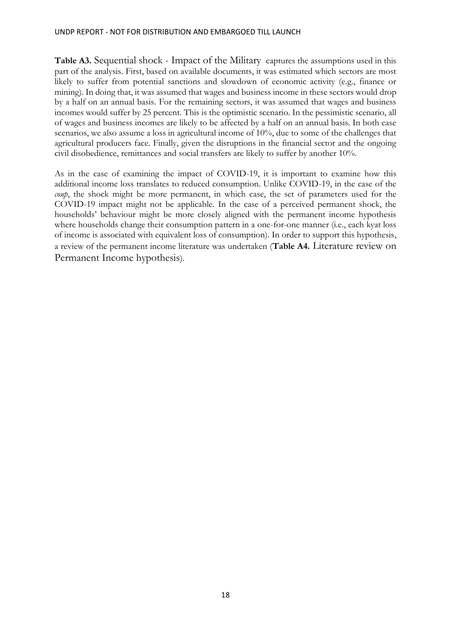**Table A3.** [Sequential shock -](#page-22-0) [Impact of the Military](#page-22-0) captures the assumptions used in this part of the analysis. First, based on available documents, it was estimated which sectors are most likely to suffer from potential sanctions and slowdown of economic activity (e.g., finance or mining). In doing that, it was assumed that wages and business income in these sectors would drop by a half on an annual basis. For the remaining sectors, it was assumed that wages and business incomes would suffer by 25 percent. This is the optimistic scenario. In the pessimistic scenario, all of wages and business incomes are likely to be affected by a half on an annual basis. In both case scenarios, we also assume a loss in agricultural income of 10%, due to some of the challenges that agricultural producers face. Finally, given the disruptions in the financial sector and the ongoing civil disobedience, remittances and social transfers are likely to suffer by another 10%.

As in the case of examining the impact of COVID-19, it is important to examine how this additional income loss translates to reduced consumption. Unlike COVID-19, in the case of the *coup*, the shock might be more permanent, in which case, the set of parameters used for the COVID-19 impact might not be applicable. In the case of a perceived permanent shock, the households' behaviour might be more closely aligned with the permanent income hypothesis where households change their consumption pattern in a one-for-one manner (i.e., each kyat loss of income is associated with equivalent loss of consumption). In order to support this hypothesis, a review of the permanent income literature was undertaken (**Table A4.** [Literature review on](#page-24-0)  [Permanent Income hypothesis](#page-24-0)).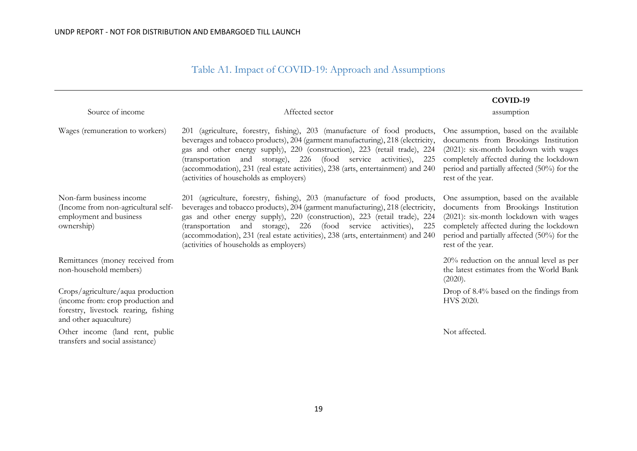## Table A1. Impact of COVID-19: Approach and Assumptions

<span id="page-19-0"></span>

| Source of income                                                                                                                         | Affected sector                                                                                                                                                                                                                                                                                                                                                                                                                             | COVID-19<br>assumption                                                                                                                                                                                                                 |
|------------------------------------------------------------------------------------------------------------------------------------------|---------------------------------------------------------------------------------------------------------------------------------------------------------------------------------------------------------------------------------------------------------------------------------------------------------------------------------------------------------------------------------------------------------------------------------------------|----------------------------------------------------------------------------------------------------------------------------------------------------------------------------------------------------------------------------------------|
| Wages (remuneration to workers)                                                                                                          | 201 (agriculture, forestry, fishing), 203 (manufacture of food products,<br>beverages and tobacco products), 204 (garment manufacturing), 218 (electricity,<br>gas and other energy supply), 220 (construction), 223 (retail trade), 224<br>(transportation and storage), 226 (food service activities), 225<br>(accommodation), 231 (real estate activities), 238 (arts, entertainment) and 240<br>(activities of households as employers) | One assumption, based on the available<br>documents from Brookings Institution<br>(2021): six-month lockdown with wages<br>completely affected during the lockdown<br>period and partially affected (50%) for the<br>rest of the year. |
| Non-farm business income<br>(Income from non-agricultural self-<br>employment and business<br>ownership)                                 | 201 (agriculture, forestry, fishing), 203 (manufacture of food products,<br>beverages and tobacco products), 204 (garment manufacturing), 218 (electricity,<br>gas and other energy supply), 220 (construction), 223 (retail trade), 224<br>(transportation and storage), 226 (food service activities), 225<br>(accommodation), 231 (real estate activities), 238 (arts, entertainment) and 240<br>(activities of households as employers) | One assumption, based on the available<br>documents from Brookings Institution<br>(2021): six-month lockdown with wages<br>completely affected during the lockdown<br>period and partially affected (50%) for the<br>rest of the year. |
| Remittances (money received from<br>non-household members)                                                                               |                                                                                                                                                                                                                                                                                                                                                                                                                                             | $20\%$ reduction on the annual level as per<br>the latest estimates from the World Bank<br>(2020).                                                                                                                                     |
| Crops/agriculture/aqua production<br>(income from: crop production and<br>forestry, livestock rearing, fishing<br>and other aquaculture) |                                                                                                                                                                                                                                                                                                                                                                                                                                             | Drop of 8.4% based on the findings from<br>HVS 2020.                                                                                                                                                                                   |
| Other income (land rent, public<br>transfers and social assistance)                                                                      |                                                                                                                                                                                                                                                                                                                                                                                                                                             | Not affected.                                                                                                                                                                                                                          |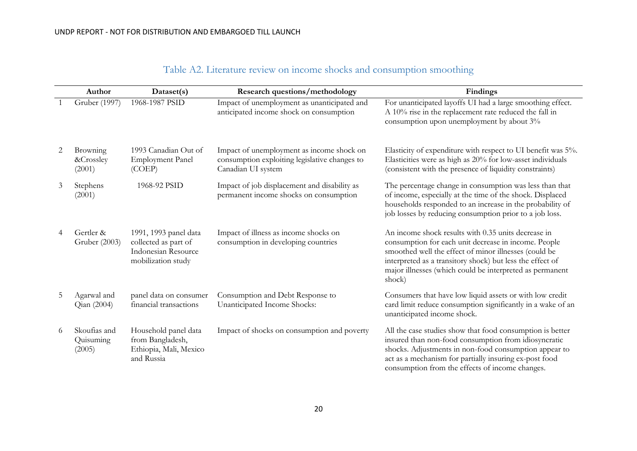| Table A2. Literature review on income shocks and consumption smoothing |  |  |  |
|------------------------------------------------------------------------|--|--|--|

<span id="page-20-0"></span>

|   | Author                              | Dataset(s)                                                                                 | <b>Research questions/methodology</b>                                                                            | Findings                                                                                                                                                                                                                                                                                                |
|---|-------------------------------------|--------------------------------------------------------------------------------------------|------------------------------------------------------------------------------------------------------------------|---------------------------------------------------------------------------------------------------------------------------------------------------------------------------------------------------------------------------------------------------------------------------------------------------------|
|   | Gruber (1997)                       | 1968-1987 PSID                                                                             | Impact of unemployment as unanticipated and<br>anticipated income shock on consumption                           | For unanticipated layoffs UI had a large smoothing effect.<br>A 10% rise in the replacement rate reduced the fall in<br>consumption upon unemployment by about 3%                                                                                                                                       |
| 2 | Browning<br>&Crossley<br>(2001)     | 1993 Canadian Out of<br><b>Employment Panel</b><br>(COEP)                                  | Impact of unemployment as income shock on<br>consumption exploiting legislative changes to<br>Canadian UI system | Elasticity of expenditure with respect to UI benefit was 5%.<br>Elasticities were as high as 20% for low-asset individuals<br>(consistent with the presence of liquidity constraints)                                                                                                                   |
| 3 | Stephens<br>(2001)                  | 1968-92 PSID                                                                               | Impact of job displacement and disability as<br>permanent income shocks on consumption                           | The percentage change in consumption was less than that<br>of income, especially at the time of the shock. Displaced<br>households responded to an increase in the probability of<br>job losses by reducing consumption prior to a job loss.                                                            |
| 4 | Gertler &<br>Gruber (2003)          | 1991, 1993 panel data<br>collected as part of<br>Indonesian Resource<br>mobilization study | Impact of illness as income shocks on<br>consumption in developing countries                                     | An income shock results with 0.35 units decrease in<br>consumption for each unit decrease in income. People<br>smoothed well the effect of minor illnesses (could be<br>interpreted as a transitory shock) but less the effect of<br>major illnesses (which could be interpreted as permanent<br>shock) |
| 5 | Agarwal and<br>Qian (2004)          | panel data on consumer<br>financial transactions                                           | Consumption and Debt Response to<br>Unanticipated Income Shocks:                                                 | Consumers that have low liquid assets or with low credit<br>card limit reduce consumption significantly in a wake of an<br>unanticipated income shock.                                                                                                                                                  |
| 6 | Skoufias and<br>Quisuming<br>(2005) | Household panel data<br>from Bangladesh,<br>Ethiopia, Mali, Mexico<br>and Russia           | Impact of shocks on consumption and poverty                                                                      | All the case studies show that food consumption is better<br>insured than non-food consumption from idiosyncratic<br>shocks. Adjustments in non-food consumption appear to<br>act as a mechanism for partially insuring ex-post food<br>consumption from the effects of income changes.                 |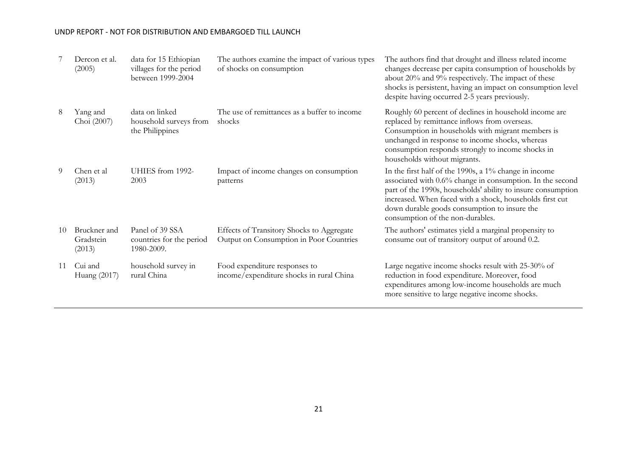|    | Dercon et al.<br>(2005)             | data for 15 Ethiopian<br>villages for the period<br>between 1999-2004 | The authors examine the impact of various types<br>of shocks on consumption          | The authors find that drought and illness related income<br>changes decrease per capita consumption of households by<br>about 20% and 9% respectively. The impact of these<br>shocks is persistent, having an impact on consumption level<br>despite having occurred 2-5 years previously.                                            |
|----|-------------------------------------|-----------------------------------------------------------------------|--------------------------------------------------------------------------------------|---------------------------------------------------------------------------------------------------------------------------------------------------------------------------------------------------------------------------------------------------------------------------------------------------------------------------------------|
| 8  | Yang and<br>Choi (2007)             | data on linked<br>household surveys from<br>the Philippines           | The use of remittances as a buffer to income<br>shocks                               | Roughly 60 percent of declines in household income are<br>replaced by remittance inflows from overseas.<br>Consumption in households with migrant members is<br>unchanged in response to income shocks, whereas<br>consumption responds strongly to income shocks in<br>households without migrants.                                  |
| 9  | Chen et al<br>(2013)                | UHIES from 1992-<br>2003                                              | Impact of income changes on consumption<br>patterns                                  | In the first half of the 1990s, a $1\%$ change in income<br>associated with 0.6% change in consumption. In the second<br>part of the 1990s, households' ability to insure consumption<br>increased. When faced with a shock, households first cut<br>down durable goods consumption to insure the<br>consumption of the non-durables. |
| 10 | Bruckner and<br>Gradstein<br>(2013) | Panel of 39 SSA<br>countries for the period<br>1980-2009.             | Effects of Transitory Shocks to Aggregate<br>Output on Consumption in Poor Countries | The authors' estimates yield a marginal propensity to<br>consume out of transitory output of around 0.2.                                                                                                                                                                                                                              |
| 11 | Cui and<br>Huang (2017)             | household survey in<br>rural China                                    | Food expenditure responses to<br>income/expenditure shocks in rural China            | Large negative income shocks result with 25-30% of<br>reduction in food expenditure. Moreover, food<br>expenditures among low-income households are much<br>more sensitive to large negative income shocks.                                                                                                                           |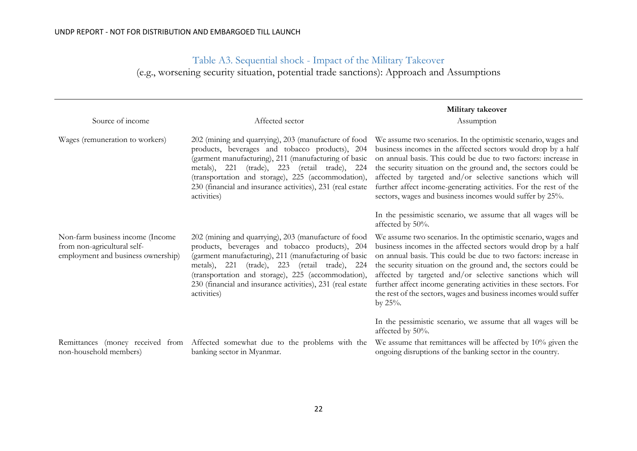## Table A3. Sequential shock - Impact of the Military Takeover

(e.g., worsening security situation, potential trade sanctions): Approach and Assumptions

<span id="page-22-0"></span>

|                                                                                                       |                                                                                                                                                                                                                                                                                                                                                    | Military takeover                                                                                                                                                                                                                                                                                                                                                                                                                                                                        |
|-------------------------------------------------------------------------------------------------------|----------------------------------------------------------------------------------------------------------------------------------------------------------------------------------------------------------------------------------------------------------------------------------------------------------------------------------------------------|------------------------------------------------------------------------------------------------------------------------------------------------------------------------------------------------------------------------------------------------------------------------------------------------------------------------------------------------------------------------------------------------------------------------------------------------------------------------------------------|
| Source of income                                                                                      | Affected sector                                                                                                                                                                                                                                                                                                                                    | Assumption                                                                                                                                                                                                                                                                                                                                                                                                                                                                               |
| Wages (remuneration to workers)                                                                       | 202 (mining and quarrying), 203 (manufacture of food<br>products, beverages and tobacco products), 204<br>(garment manufacturing), 211 (manufacturing of basic<br>metals), 221 (trade), 223 (retail trade), 224<br>(transportation and storage), 225 (accommodation),<br>230 (financial and insurance activities), 231 (real estate<br>activities) | We assume two scenarios. In the optimistic scenario, wages and<br>business incomes in the affected sectors would drop by a half<br>on annual basis. This could be due to two factors: increase in<br>the security situation on the ground and, the sectors could be<br>affected by targeted and/or selective sanctions which will<br>further affect income-generating activities. For the rest of the<br>sectors, wages and business incomes would suffer by 25%.                        |
|                                                                                                       |                                                                                                                                                                                                                                                                                                                                                    | In the pessimistic scenario, we assume that all wages will be<br>affected by 50%.                                                                                                                                                                                                                                                                                                                                                                                                        |
| Non-farm business income (Income<br>from non-agricultural self-<br>employment and business ownership) | 202 (mining and quarrying), 203 (manufacture of food<br>products, beverages and tobacco products), 204<br>(garment manufacturing), 211 (manufacturing of basic<br>metals), 221 (trade), 223 (retail trade), 224<br>(transportation and storage), 225 (accommodation),<br>230 (financial and insurance activities), 231 (real estate<br>activities) | We assume two scenarios. In the optimistic scenario, wages and<br>business incomes in the affected sectors would drop by a half<br>on annual basis. This could be due to two factors: increase in<br>the security situation on the ground and, the sectors could be<br>affected by targeted and/or selective sanctions which will<br>further affect income generating activities in these sectors. For<br>the rest of the sectors, wages and business incomes would suffer<br>by $25%$ . |
|                                                                                                       |                                                                                                                                                                                                                                                                                                                                                    | In the pessimistic scenario, we assume that all wages will be<br>affected by 50%.                                                                                                                                                                                                                                                                                                                                                                                                        |
| non-household members)                                                                                | Remittances (money received from Affected somewhat due to the problems with the<br>banking sector in Myanmar.                                                                                                                                                                                                                                      | We assume that remittances will be affected by $10\%$ given the<br>ongoing disruptions of the banking sector in the country.                                                                                                                                                                                                                                                                                                                                                             |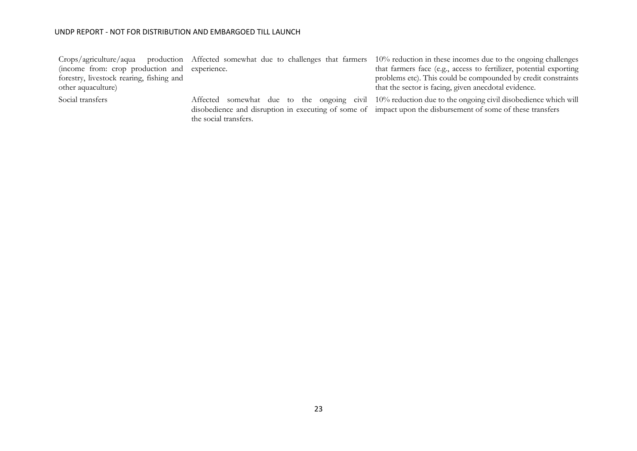(income from: crop production and experience. forestry, livestock rearing, fishing and other aquaculture)

Crops/agriculture/aqua production Affected somewhat due to challenges that farmers 10% reduction in these incomes due to the ongoing challenges that farmers face (e.g., access to fertilizer, potential exporting problems etc). This could be compounded by credit constraints that the sector is facing, given anecdotal evidence.

the social transfers.

Social transfers homewhat due to the ongoing civil 10% reduction due to the ongoing civil disobedience which will disobedience and disruption in executing of some of impact upon the disbursement of some of these transfers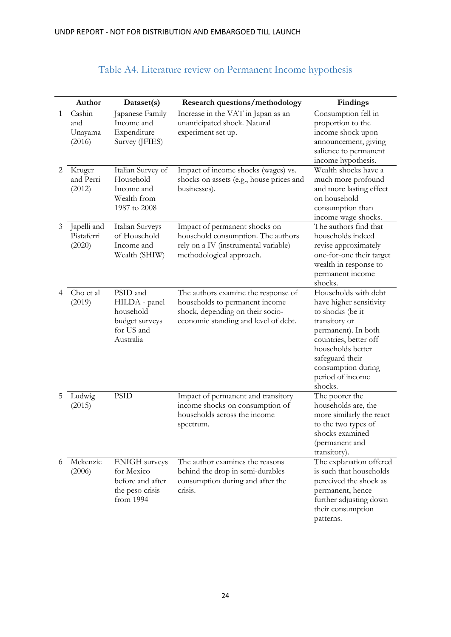<span id="page-24-0"></span>

|              | Author                              | Dataset(s)                                                                             | <b>Research questions/methodology</b>                                                                                                             | Findings                                                                                                                                                                                                                          |
|--------------|-------------------------------------|----------------------------------------------------------------------------------------|---------------------------------------------------------------------------------------------------------------------------------------------------|-----------------------------------------------------------------------------------------------------------------------------------------------------------------------------------------------------------------------------------|
| $\mathbf{1}$ | Cashin<br>and<br>Unayama<br>(2016)  | Japanese Family<br>Income and<br>Expenditure<br>Survey (JFIES)                         | Increase in the VAT in Japan as an<br>unanticipated shock. Natural<br>experiment set up.                                                          | Consumption fell in<br>proportion to the<br>income shock upon<br>announcement, giving<br>salience to permanent<br>income hypothesis.                                                                                              |
| 2            | Kruger<br>and Perri<br>(2012)       | Italian Survey of<br>Household<br>Income and<br>Wealth from<br>1987 to 2008            | Impact of income shocks (wages) vs.<br>shocks on assets (e.g., house prices and<br>businesses).                                                   | Wealth shocks have a<br>much more profound<br>and more lasting effect<br>on household<br>consumption than<br>income wage shocks.                                                                                                  |
| 3            | Japelli and<br>Pistaferri<br>(2020) | Italian Surveys<br>of Household<br>Income and<br>Wealth (SHIW)                         | Impact of permanent shocks on<br>household consumption. The authors<br>rely on a IV (instrumental variable)<br>methodological approach.           | The authors find that<br>households indeed<br>revise approximately<br>one-for-one their target<br>wealth in response to<br>permanent income<br>shocks.                                                                            |
|              | Cho et al<br>(2019)                 | PSID and<br>HILDA - panel<br>household<br>budget surveys<br>for US and<br>Australia    | The authors examine the response of<br>households to permanent income<br>shock, depending on their socio-<br>economic standing and level of debt. | Households with debt<br>have higher sensitivity<br>to shocks (be it<br>transitory or<br>permanent). In both<br>countries, better off<br>households better<br>safeguard their<br>consumption during<br>period of income<br>shocks. |
| 5            | Ludwig<br>(2015)                    | <b>PSID</b>                                                                            | Impact of permanent and transitory<br>income shocks on consumption of<br>households across the income<br>spectrum.                                | The poorer the<br>households are, the<br>more similarly the react<br>to the two types of<br>shocks examined<br>(permanent and<br>transitory).                                                                                     |
| 6            | Mckenzie<br>(2006)                  | <b>ENIGH</b> surveys<br>for Mexico<br>before and after<br>the peso crisis<br>from 1994 | The author examines the reasons<br>behind the drop in semi-durables<br>consumption during and after the<br>crisis.                                | The explanation offered<br>is such that households<br>perceived the shock as<br>permanent, hence<br>further adjusting down<br>their consumption<br>patterns.                                                                      |

## Table A4. Literature review on Permanent Income hypothesis